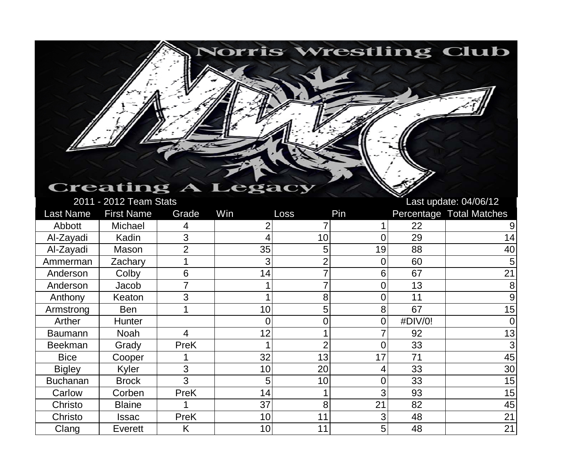## **Creating A Legacy**

2011 - 2012 Team Stats Last update: 04/06/12

Norris Wrestling Club

| <b>Last Name</b> | <b>First Name</b> | Grade       | Win             | Loss           | Pin |         | Percentage Total Matches |
|------------------|-------------------|-------------|-----------------|----------------|-----|---------|--------------------------|
| Abbott           | Michael           | 4           |                 |                |     | 22      |                          |
| Al-Zayadi        | Kadin             | 3           | 4               | 10             | 0   | 29      | 14                       |
| Al-Zayadi        | Mason             | 2           | 35              | 5              | 19  | 88      | 40                       |
| Ammerman         | Zachary           |             | 3               |                | 0   | 60      | 5                        |
| Anderson         | Colby             | 6           | 14              |                | 6   | 67      | 21                       |
| Anderson         | Jacob             |             |                 |                | 0   | 13      | 8                        |
| Anthony          | Keaton            | 3           |                 | 8              | 0   | 11      | 9                        |
| Armstrong        | Ben               |             | 10              | 5              | 8   | 67      | 15                       |
| Arther           | <b>Hunter</b>     |             | 0               |                | 0   | #DIV/0! |                          |
| <b>Baumann</b>   | Noah              | 4           | 12              |                |     | 92      | 13                       |
| <b>Beekman</b>   | Grady             | PreK        |                 | $\overline{2}$ | 0   | 33      | 3                        |
| <b>Bice</b>      | Cooper            |             | 32              | 13             | 17  | 71      | 45                       |
| <b>Bigley</b>    | Kyler             | 3           | 10              | 20             | 4   | 33      | 30                       |
| <b>Buchanan</b>  | <b>Brock</b>      | 3           | 5               | 10             | 0   | 33      | 15                       |
| Carlow           | Corben            | <b>PreK</b> | 14              |                | 3   | 93      | 15                       |
| Christo          | <b>Blaine</b>     |             | 37              | 8              | 21  | 82      | 45                       |
| Christo          | Issac             | <b>PreK</b> | 10              | 11             | 3   | 48      | 21                       |
| Clang            | Everett           | K           | 10 <sup>1</sup> | 11             | 5   | 48      | 21                       |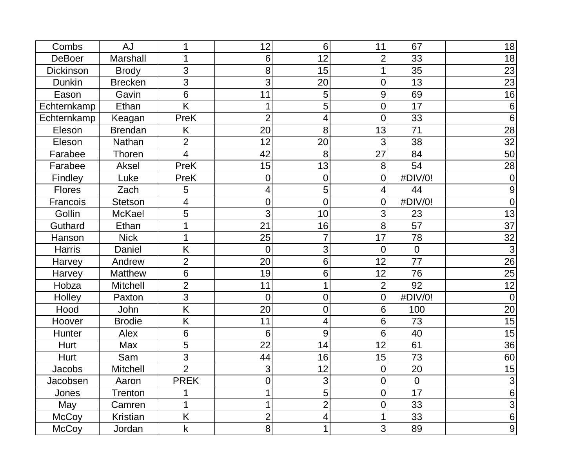| Combs         | <b>AJ</b>       |                         | 12             | 6              | 11              | 67             | 18               |
|---------------|-----------------|-------------------------|----------------|----------------|-----------------|----------------|------------------|
| <b>DeBoer</b> | Marshall        |                         | 6              | 12             | $\overline{2}$  | 33             | 18               |
| Dickinson     | <b>Brody</b>    | 3                       | 8              | 15             |                 | 35             | 23               |
| Dunkin        | <b>Brecken</b>  | 3                       | 3              | 20             | $\overline{0}$  | 13             | 23               |
| Eason         | Gavin           | $6\phantom{1}$          | 11             | 5              | 9               | 69             | 16               |
| Echternkamp   | Ethan           | K                       | 1              | 5              | $\mathbf 0$     | 17             | $6\phantom{1}6$  |
| Echternkamp   | Keagan          | PreK                    | $\overline{2}$ | 4              | $\overline{0}$  | 33             | $6\phantom{1}6$  |
| Eleson        | <b>Brendan</b>  | Κ                       | 20             | 8              | 13              | 71             | 28               |
| Eleson        | Nathan          | $\overline{2}$          | 12             | 20             | 3               | 38             | $\overline{32}$  |
| Farabee       | Thoren          | 4                       | 42             | 8              | 27              | 84             | 50               |
| Farabee       | Aksel           | PreK                    | 15             | 13             | 8               | 54             | 28               |
| Findley       | Luke            | PreK                    | $\mathbf 0$    | $\mathbf 0$    | $\mathbf 0$     | #DIV/0!        | $\overline{0}$   |
| <b>Flores</b> | Zach            | 5                       | 4              | 5              | $\overline{4}$  | 44             | 9                |
| Francois      | <b>Stetson</b>  | $\overline{\mathbf{4}}$ | $\mathbf 0$    | 0              | $\mathbf 0$     | #DIV/0!        | $\overline{0}$   |
| Gollin        | <b>McKael</b>   | 5                       | 3              | 10             | 3               | 23             | 13               |
| Guthard       | Ethan           |                         | 21             | 16             | 8               | 57             | $\overline{37}$  |
| Hanson        | <b>Nick</b>     |                         | 25             | 7              | 17              | 78             | 32               |
| <b>Harris</b> | Daniel          | K                       | $\overline{0}$ | 3              | $\overline{0}$  | $\overline{0}$ | $\overline{3}$   |
| Harvey        | Andrew          | $\overline{2}$          | 20             | 6              | 12              | 77             | 26               |
| Harvey        | <b>Matthew</b>  | 6                       | 19             | 6              | 12              | 76             | 25               |
| Hobza         | <b>Mitchell</b> | $\overline{2}$          | 11             |                | $\overline{2}$  | 92             | 12               |
| Holley        | Paxton          | 3                       | $\overline{0}$ | 0              | $\mathbf 0$     | #DIV/0!        | $\overline{0}$   |
| Hood          | John            | K                       | 20             | 0              | $6\phantom{1}6$ | 100            | 20               |
| Hoover        | <b>Brodie</b>   | K                       | 11             | 4              | 6               | 73             | 15               |
| Hunter        | Alex            | 6                       | 6              | 9              | $6\phantom{1}$  | 40             | 15               |
| Hurt          | Max             | 5                       | 22             | 14             | 12              | 61             | 36               |
| Hurt          | Sam             | 3                       | 44             | 16             | 15              | 73             | 60               |
| Jacobs        | Mitchell        | $\overline{2}$          | $\overline{3}$ | 12             | $\overline{0}$  | 20             | 15               |
| Jacobsen      | Aaron           | <b>PREK</b>             | 0              | 3              | $\overline{0}$  | $\overline{0}$ | 3                |
| Jones         | Trenton         |                         | 1              | 5              | $\mathbf 0$     | 17             | $\,6\,$          |
| May           | Camren          | 1                       | 1              | $\overline{2}$ | $\mathbf 0$     | 33             | $\overline{3}$   |
| <b>McCoy</b>  | Kristian        | K                       | $\overline{c}$ | 4              | 1               | 33             | $\overline{6}$   |
| <b>McCoy</b>  | Jordan          | $\mathsf k$             | 8              |                | 3               | 89             | $\boldsymbol{9}$ |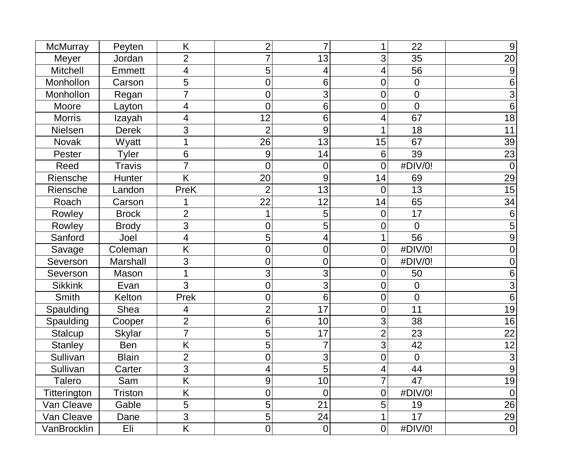| McMurray        | Peyten        | K                       | $\overline{2}$   | 7           |                | 22             | $9\,$           |
|-----------------|---------------|-------------------------|------------------|-------------|----------------|----------------|-----------------|
| Meyer           | Jordan        | $\overline{2}$          | $\overline{7}$   | 13          | 3              | 35             | 20              |
| <b>Mitchell</b> | <b>Emmett</b> | 4                       | 5                | 4           | 4              | 56             | $9$             |
| Monhollon       | Carson        | 5                       | 0                | 6           | 0              | $\overline{0}$ | 6               |
| Monhollon       | Regan         | $\overline{7}$          | 0                | 3           | 0              | $\overline{0}$ | 3               |
| Moore           | Layton        | 4                       | 0                | 6           | 0              | $\overline{0}$ | $6\phantom{1}6$ |
| <b>Morris</b>   | Izayah        | 4                       | 12               | 6           | 4              | 67             | 18              |
| <b>Nielsen</b>  | <b>Derek</b>  | 3                       | $\overline{2}$   | 9           |                | 18             | 11              |
| <b>Novak</b>    | Wyatt         | 1                       | 26               | 13          | 15             | 67             | 39              |
| Pester          | Tyler         | 6                       | 9                | 14          | 6              | 39             | 23              |
| Reed            | <b>Travis</b> | $\overline{7}$          | $\overline{0}$   | 0           | 0              | #DIV/0!        | $\overline{0}$  |
| Riensche        | Hunter        | K                       | 20               | 9           | 14             | 69             | 29              |
| Riensche        | Landon        | PreK                    | $\overline{2}$   | 13          | $\overline{0}$ | 13             | 15              |
| Roach           | Carson        |                         | 22               | 12          | 14             | 65             | 34              |
| Rowley          | <b>Brock</b>  | $\overline{2}$          |                  | 5           | 0              | 17             | 6               |
| Rowley          | <b>Brody</b>  | 3                       | 0                | 5           | 0              | $\overline{0}$ | 5               |
| Sanford         | Joel          | 4                       | 5                | 4           |                | 56             | 9               |
| Savage          | Coleman       | K                       | $\mathbf 0$      | 0           | 0              | #DIV/0!        | $\overline{0}$  |
| Severson        | Marshall      | 3                       | $\mathbf 0$      | 0           | 0              | #DIV/0!        | 0               |
| Severson        | Mason         | 1                       | 3                | 3           | 0              | 50             | 6               |
| <b>Sikkink</b>  | Evan          | 3                       | 0                | 3           | 0              | $\overline{0}$ | 3               |
| <b>Smith</b>    | Kelton        | Prek                    | $\mathbf 0$      | 6           | 0              | $\overline{0}$ | $6\phantom{1}6$ |
| Spaulding       | <b>Shea</b>   | 4                       | $\overline{2}$   | 17          | 0              | 11             | 19              |
| Spaulding       | Cooper        | $\overline{2}$          | 6                | 10          | 3              | 38             | 16              |
| Stalcup         | <b>Skylar</b> | $\overline{7}$          | 5                | 17          | $\overline{2}$ | 23             | 22              |
| <b>Stanley</b>  | <b>Ben</b>    | K                       | 5                | 7           | 3              | 42             | 12              |
| Sullivan        | <b>Blain</b>  | $\overline{2}$          | 0                | 3           | 0              | $\overline{0}$ | $\sqrt{3}$      |
| Sullivan        | Carter        | 3                       | 4                | 5           | $\overline{4}$ | 44             | 9               |
| Talero          | Sam           | Κ                       | $\boldsymbol{9}$ | 10          | 7              | 47             | 19              |
| Titterington    | Triston       | Κ                       | 0                | $\mathbf 0$ | 0              | #DIV/0!        | $\theta$        |
| Van Cleave      | Gable         | 5                       | 5                | 21          | 5              | 19             | 26              |
| Van Cleave      | Dane          | 3                       | $\overline{5}$   | 24          | 1              | 17             | 29              |
| VanBrocklin     | Eli           | $\overline{\mathsf{K}}$ | $\boldsymbol{0}$ | $\pmb{0}$   | $\overline{0}$ | #DIV/0!        | $\pmb{0}$       |